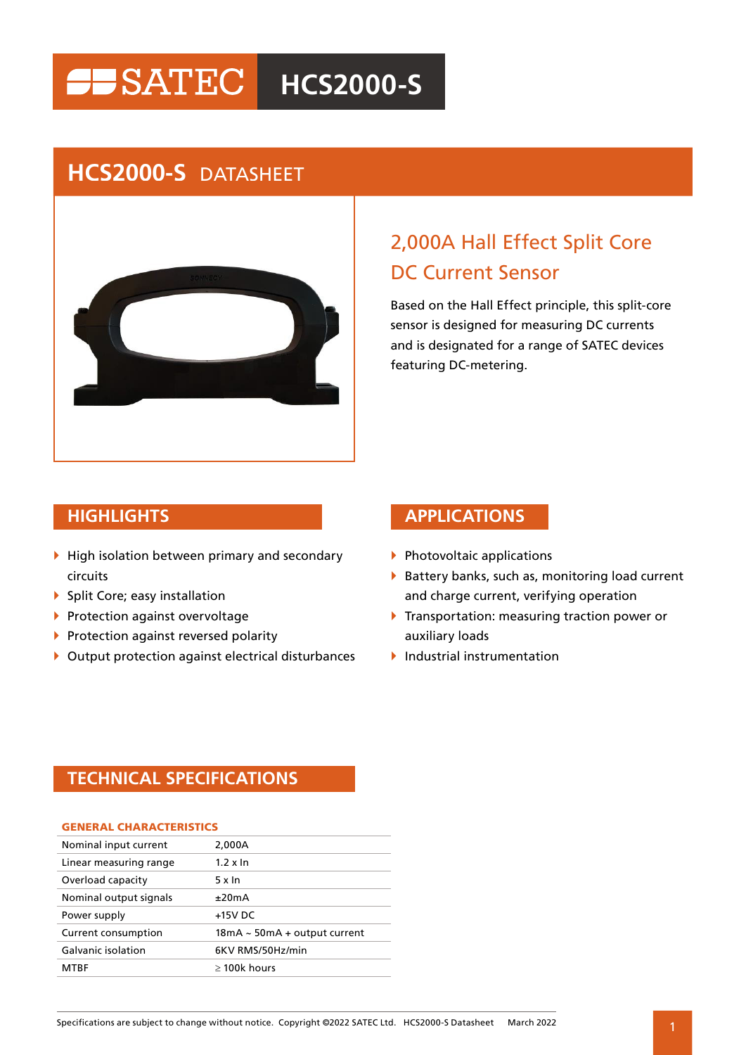# **HISATEC** HCS2000-S

## **HCS2000-S** DATASHEET



## 2,000A Hall Effect Split Core DC Current Sensor

Based on the Hall Effect principle, this split-core sensor is designed for measuring DC currents and is designated for a range of SATEC devices featuring DC-metering.

- $\blacktriangleright$  High isolation between primary and secondary circuits
- ▶ Split Core; easy installation
- **Protection against overvoltage**
- **Protection against reversed polarity**
- $\blacktriangleright$  Output protection against electrical disturbances

### **HIGHLIGHTS APPLICATIONS**

- $\blacktriangleright$  Photovoltaic applications
- $\blacktriangleright$  Battery banks, such as, monitoring load current and charge current, verifying operation
- **Transportation: measuring traction power or** auxiliary loads
- $\blacktriangleright$  Industrial instrumentation

### **TECHNICAL SPECIFICATIONS**

| <b>GENERAL CHARACTERISTICS</b> |                                   |
|--------------------------------|-----------------------------------|
| Nominal input current          | 2,000A                            |
| Linear measuring range         | $1.2 \times \ln$                  |
| Overload capacity              | 5 x In                            |
| Nominal output signals         | ±20mA                             |
| Power supply                   | $+15V$ DC                         |
| Current consumption            | $18mA \sim 50mA + output current$ |
| Galvanic isolation             | 6KV RMS/50Hz/min                  |
| <b>MTRF</b>                    | $\geq$ 100k hours                 |